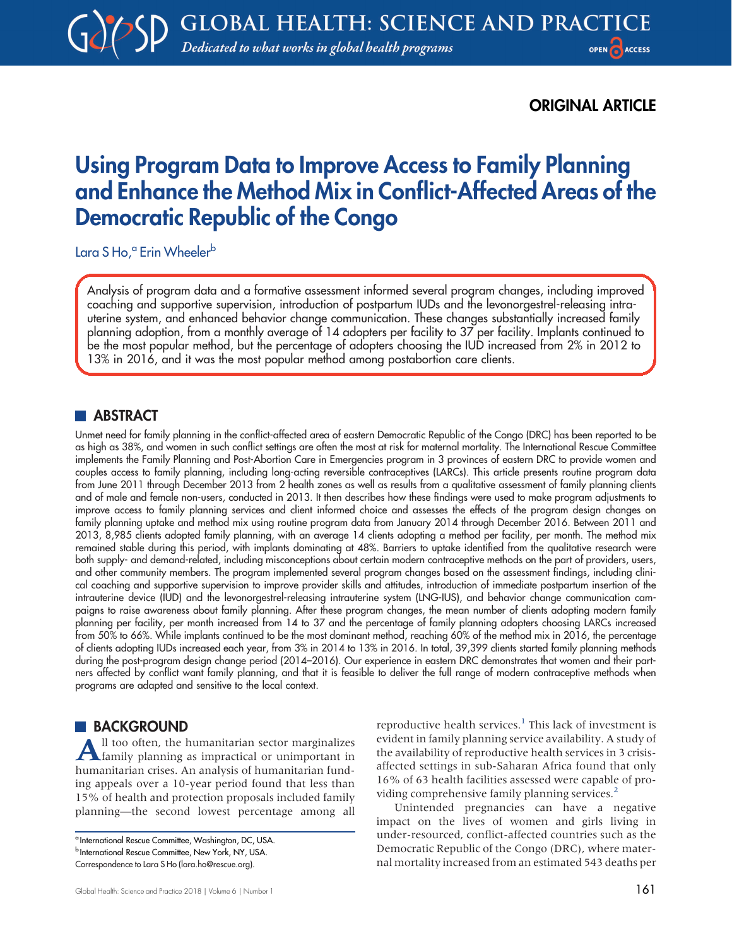# ORIGINAL ARTICLE

# Using Program Data to Improve Access to Family Planning and Enhance the Method Mix in Conflict-Affected Areas of the Democratic Republic of the Congo

Lara S Ho,<sup>a</sup> Erin Wheeler<sup>b</sup>

Analysis of program data and a formative assessment informed several program changes, including improved coaching and supportive supervision, introduction of postpartum IUDs and the levonorgestrel-releasing intrauterine system, and enhanced behavior change communication. These changes substantially increased family planning adoption, from a monthly average of 14 adopters per facility to 37 per facility. Implants continued to be the most popular method, but the percentage of adopters choosing the IUD increased from 2% in 2012 to 13% in 2016, and it was the most popular method among postabortion care clients.

# **ABSTRACT**

Unmet need for family planning in the conflict-affected area of eastern Democratic Republic of the Congo (DRC) has been reported to be as high as 38%, and women in such conflict settings are often the most at risk for maternal mortality. The International Rescue Committee implements the Family Planning and Post-Abortion Care in Emergencies program in 3 provinces of eastern DRC to provide women and couples access to family planning, including long-acting reversible contraceptives (LARCs). This article presents routine program data from June 2011 through December 2013 from 2 health zones as well as results from a qualitative assessment of family planning clients and of male and female non-users, conducted in 2013. It then describes how these findings were used to make program adjustments to improve access to family planning services and client informed choice and assesses the effects of the program design changes on family planning uptake and method mix using routine program data from January 2014 through December 2016. Between 2011 and 2013, 8,985 clients adopted family planning, with an average 14 clients adopting a method per facility, per month. The method mix remained stable during this period, with implants dominating at 48%. Barriers to uptake identified from the qualitative research were both supply- and demand-related, including misconceptions about certain modern contraceptive methods on the part of providers, users, and other community members. The program implemented several program changes based on the assessment findings, including clinical coaching and supportive supervision to improve provider skills and attitudes, introduction of immediate postpartum insertion of the intrauterine device (IUD) and the levonorgestrel-releasing intrauterine system (LNG-IUS), and behavior change communication campaigns to raise awareness about family planning. After these program changes, the mean number of clients adopting modern family planning per facility, per month increased from 14 to 37 and the percentage of family planning adopters choosing LARCs increased from 50% to 66%. While implants continued to be the most dominant method, reaching 60% of the method mix in 2016, the percentage of clients adopting IUDs increased each year, from 3% in 2014 to 13% in 2016. In total, 39,399 clients started family planning methods during the post-program design change period (2014–2016). Our experience in eastern DRC demonstrates that women and their partners affected by conflict want family planning, and that it is feasible to deliver the full range of modern contraceptive methods when programs are adapted and sensitive to the local context.

# **BACKGROUND**

All too often, the humanitarian sector marginalizes family planning as impractical or unimportant in humanitarian crises. An analysis of humanitarian funding appeals over a 10-year period found that less than 15% of health and protection proposals included family planning—the second lowest percentage among all reproductive health services.<sup>[1](#page-15-0)</sup> This lack of investment is evident in family planning service availability. A study of the availability of reproductive health services in 3 crisisaffected settings in sub-Saharan Africa found that only 16% of 63 health facilities assessed were capable of pro-viding comprehensive family planning services.<sup>[2](#page-15-1)</sup>

Unintended pregnancies can have a negative impact on the lives of women and girls living in under-resourced, conflict-affected countries such as the Democratic Republic of the Congo (DRC), where maternal mortality increased from an estimated 543 deaths per

<sup>&</sup>lt;sup>a</sup> International Rescue Committee, Washington, DC, USA.

b International Rescue Committee, New York, NY, USA.

Correspondence to Lara S Ho ([lara.ho@rescue.org](mailto:lara.ho@rescue.org)).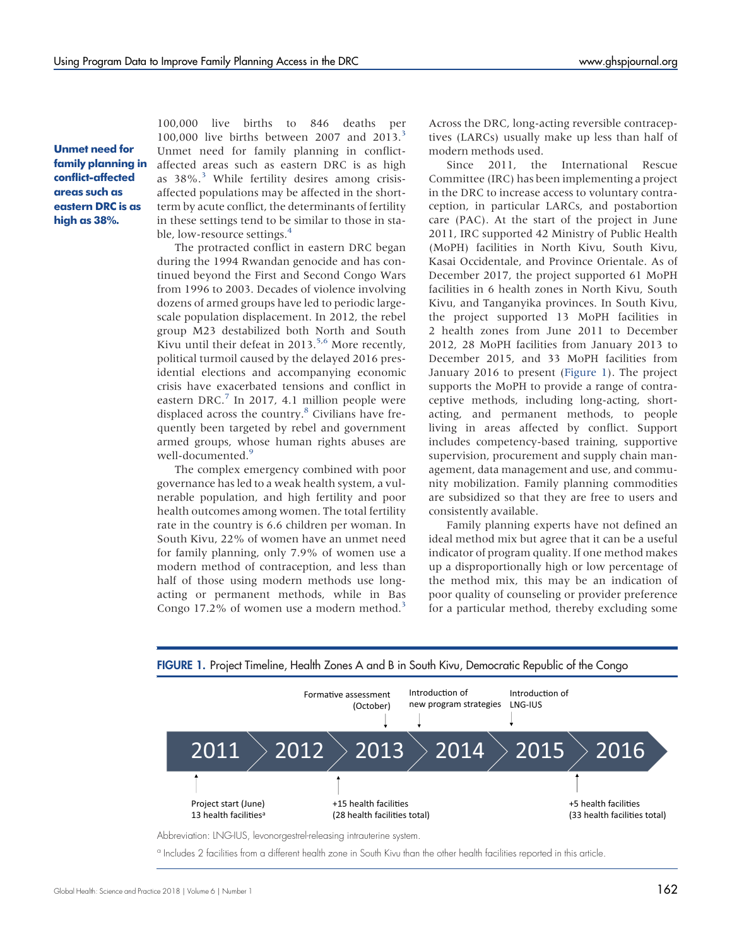Unmet need for family planning in conflict-affected areas such as eastern DRC is as high as 38%.

100,000 live births to 846 deaths per 100,000 live births between 2007 and  $2013.<sup>3</sup>$  $2013.<sup>3</sup>$  $2013.<sup>3</sup>$ Unmet need for family planning in conflictaffected areas such as eastern DRC is as high as  $38\%$  $38\%$ <sup>3</sup> While fertility desires among crisisaffected populations may be affected in the shortterm by acute conflict, the determinants of fertility in these settings tend to be similar to those in stable, low-resource settings.<sup>4</sup>

The protracted conflict in eastern DRC began during the 1994 Rwandan genocide and has continued beyond the First and Second Congo Wars from 1996 to 2003. Decades of violence involving dozens of armed groups have led to periodic largescale population displacement. In 2012, the rebel group M23 destabilized both North and South Kivu until their defeat in 2013.<sup>[5,](#page-15-4)[6](#page-15-5)</sup> More recently, political turmoil caused by the delayed 2016 presidential elections and accompanying economic crisis have exacerbated tensions and conflict in eastern DRC.<sup>[7](#page-15-6)</sup> In 2017, 4.1 million people were displaced across the country.<sup>8</sup> Civilians have frequently been targeted by rebel and government armed groups, whose human rights abuses are well-documented.<sup>9</sup>

The complex emergency combined with poor governance has led to a weak health system, a vulnerable population, and high fertility and poor health outcomes among women. The total fertility rate in the country is 6.6 children per woman. In South Kivu, 22% of women have an unmet need for family planning, only 7.9% of women use a modern method of contraception, and less than half of those using modern methods use longacting or permanent methods, while in Bas Congo 17.2% of women use a modern method.<sup>[3](#page-15-2)</sup> Across the DRC, long-acting reversible contraceptives (LARCs) usually make up less than half of modern methods used.

Since 2011, the International Rescue Committee (IRC) has been implementing a project in the DRC to increase access to voluntary contraception, in particular LARCs, and postabortion care (PAC). At the start of the project in June 2011, IRC supported 42 Ministry of Public Health (MoPH) facilities in North Kivu, South Kivu, Kasai Occidentale, and Province Orientale. As of December 2017, the project supported 61 MoPH facilities in 6 health zones in North Kivu, South Kivu, and Tanganyika provinces. In South Kivu, the project supported 13 MoPH facilities in 2 health zones from June 2011 to December 2012, 28 MoPH facilities from January 2013 to December 2015, and 33 MoPH facilities from January 2016 to present (Figure 1). The project supports the MoPH to provide a range of contraceptive methods, including long-acting, shortacting, and permanent methods, to people living in areas affected by conflict. Support includes competency-based training, supportive supervision, procurement and supply chain management, data management and use, and community mobilization. Family planning commodities are subsidized so that they are free to users and consistently available.

Family planning experts have not defined an ideal method mix but agree that it can be a useful indicator of program quality. If one method makes up a disproportionally high or low percentage of the method mix, this may be an indication of poor quality of counseling or provider preference for a particular method, thereby excluding some



FIGURE 1. Project Timeline, Health Zones A and B in South Kivu, Democratic Republic of the Congo

<sup>a</sup> Includes 2 facilities from a different health zone in South Kivu than the other health facilities reported in this article.

Abbreviation: LNG-IUS, levonorgestrel-releasing intrauterine system.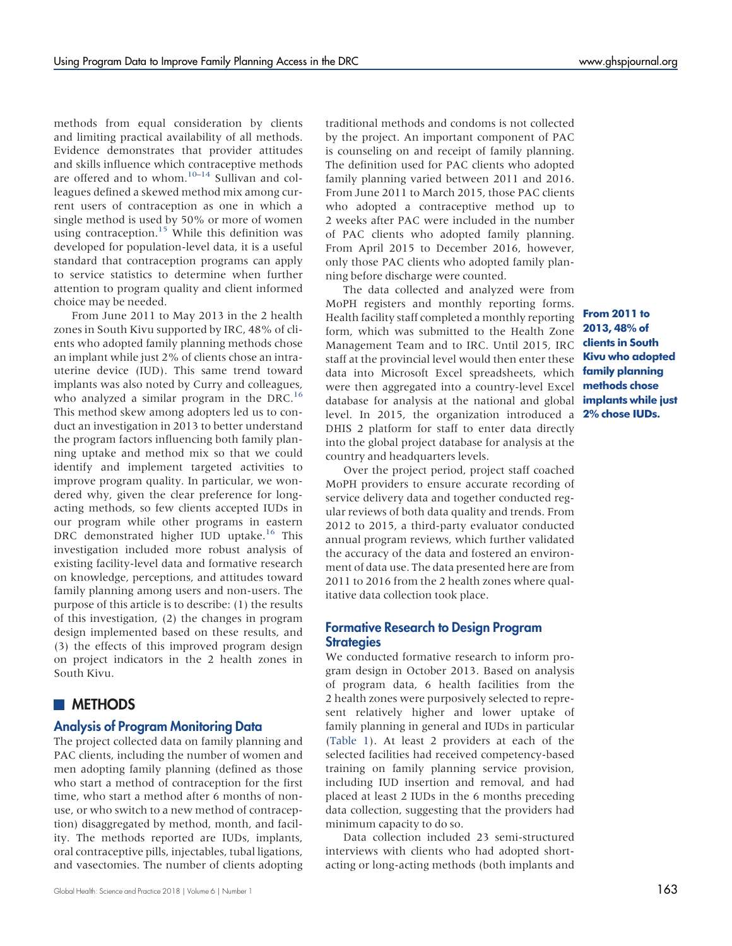methods from equal consideration by clients and limiting practical availability of all methods. Evidence demonstrates that provider attitudes and skills influence which contraceptive methods are offered and to whom. $10-14$  $10-14$  $10-14$  Sullivan and colleagues defined a skewed method mix among current users of contraception as one in which a single method is used by 50% or more of women using contraception.<sup>15</sup> While this definition was developed for population-level data, it is a useful standard that contraception programs can apply to service statistics to determine when further attention to program quality and client informed choice may be needed.

From June 2011 to May 2013 in the 2 health zones in South Kivu supported by IRC, 48% of clients who adopted family planning methods chose an implant while just 2% of clients chose an intrauterine device (IUD). This same trend toward implants was also noted by Curry and colleagues, who analyzed a similar program in the DRC.<sup>[16](#page-15-12)</sup> This method skew among adopters led us to conduct an investigation in 2013 to better understand the program factors influencing both family planning uptake and method mix so that we could identify and implement targeted activities to improve program quality. In particular, we wondered why, given the clear preference for longacting methods, so few clients accepted IUDs in our program while other programs in eastern DRC demonstrated higher IUD uptake.<sup>16</sup> This investigation included more robust analysis of existing facility-level data and formative research on knowledge, perceptions, and attitudes toward family planning among users and non-users. The purpose of this article is to describe: (1) the results of this investigation, (2) the changes in program design implemented based on these results, and (3) the effects of this improved program design on project indicators in the 2 health zones in South Kivu.

# **METHODS**

### Analysis of Program Monitoring Data

The project collected data on family planning and PAC clients, including the number of women and men adopting family planning (defined as those who start a method of contraception for the first time, who start a method after 6 months of nonuse, or who switch to a new method of contraception) disaggregated by method, month, and facility. The methods reported are IUDs, implants, oral contraceptive pills, injectables, tubal ligations, and vasectomies. The number of clients adopting traditional methods and condoms is not collected by the project. An important component of PAC is counseling on and receipt of family planning. The definition used for PAC clients who adopted family planning varied between 2011 and 2016. From June 2011 to March 2015, those PAC clients who adopted a contraceptive method up to 2 weeks after PAC were included in the number of PAC clients who adopted family planning. From April 2015 to December 2016, however, only those PAC clients who adopted family planning before discharge were counted.

The data collected and analyzed were from MoPH registers and monthly reporting forms. Health facility staff completed a monthly reporting form, which was submitted to the Health Zone Management Team and to IRC. Until 2015, IRC staff at the provincial level would then enter these data into Microsoft Excel spreadsheets, which were then aggregated into a country-level Excel methods chose database for analysis at the national and global level. In 2015, the organization introduced a DHIS 2 platform for staff to enter data directly into the global project database for analysis at the country and headquarters levels.

Over the project period, project staff coached MoPH providers to ensure accurate recording of service delivery data and together conducted regular reviews of both data quality and trends. From 2012 to 2015, a third-party evaluator conducted annual program reviews, which further validated the accuracy of the data and fostered an environment of data use. The data presented here are from 2011 to 2016 from the 2 health zones where qualitative data collection took place.

### Formative Research to Design Program **Strategies**

We conducted formative research to inform program design in October 2013. Based on analysis of program data, 6 health facilities from the 2 health zones were purposively selected to represent relatively higher and lower uptake of family planning in general and IUDs in particular [\(Table 1](#page-3-0)). At least 2 providers at each of the selected facilities had received competency-based training on family planning service provision, including IUD insertion and removal, and had placed at least 2 IUDs in the 6 months preceding data collection, suggesting that the providers had minimum capacity to do so.

Data collection included 23 semi-structured interviews with clients who had adopted shortacting or long-acting methods (both implants and

From 2011 to 2013, 48% of clients in South Kivu who adopted family planning implants while just 2% chose IUDs.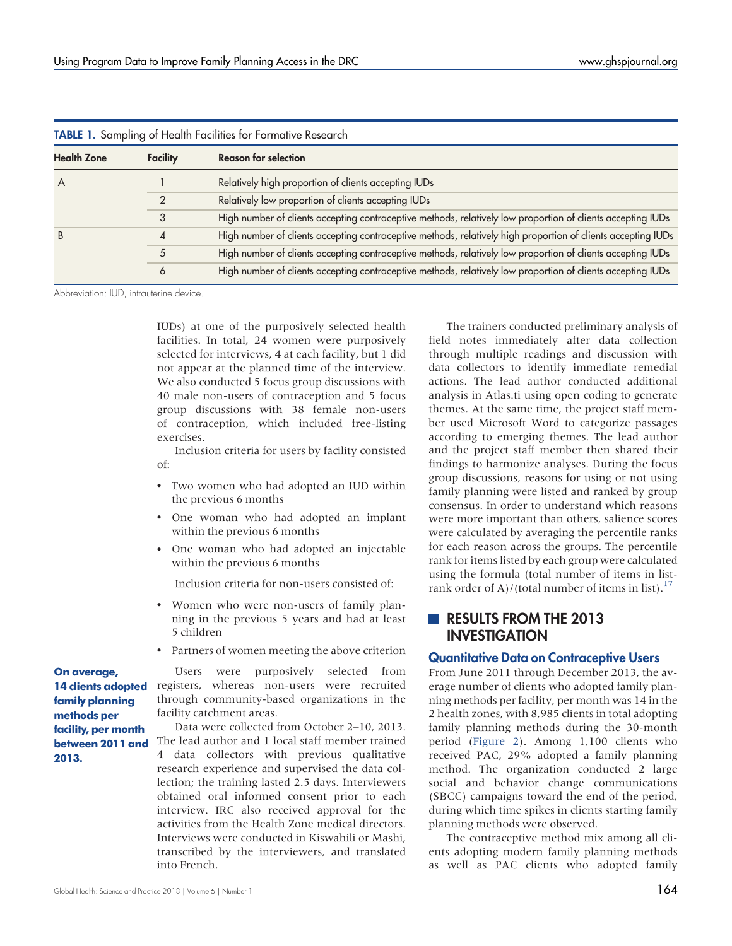<span id="page-3-0"></span>

| <b>TABLE 1.</b> Sampling of Health Facilities for Formative Research |          |                                                                                                              |  |  |  |
|----------------------------------------------------------------------|----------|--------------------------------------------------------------------------------------------------------------|--|--|--|
| <b>Health Zone</b>                                                   | Facility | <b>Reason for selection</b>                                                                                  |  |  |  |
| A                                                                    |          | Relatively high proportion of clients accepting IUDs                                                         |  |  |  |
|                                                                      |          | Relatively low proportion of clients accepting IUDs                                                          |  |  |  |
|                                                                      |          | High number of clients accepting contraceptive methods, relatively low proportion of clients accepting IUDs  |  |  |  |
|                                                                      |          | High number of clients accepting contraceptive methods, relatively high proportion of clients accepting IUDs |  |  |  |
|                                                                      |          | High number of clients accepting contraceptive methods, relatively low proportion of clients accepting IUDs  |  |  |  |
|                                                                      | 6        | High number of clients accepting contraceptive methods, relatively low proportion of clients accepting IUDs  |  |  |  |

Abbreviation: IUD, intrauterine device.

IUDs) at one of the purposively selected health facilities. In total, 24 women were purposively selected for interviews, 4 at each facility, but 1 did not appear at the planned time of the interview. We also conducted 5 focus group discussions with 40 male non-users of contraception and 5 focus group discussions with 38 female non-users of contraception, which included free-listing exercises.

Inclusion criteria for users by facility consisted of:

- Two women who had adopted an IUD within the previous 6 months
- One woman who had adopted an implant within the previous 6 months
- One woman who had adopted an injectable within the previous 6 months

Inclusion criteria for non-users consisted of:

- Women who were non-users of family planning in the previous 5 years and had at least 5 children
- Partners of women meeting the above criterion

On average, family planning methods per facility, per month between 2011 and 2013.

Users were purposively selected from 14 clients adopted registers, whereas non-users were recruited through community-based organizations in the facility catchment areas.

> Data were collected from October 2–10, 2013. The lead author and 1 local staff member trained 4 data collectors with previous qualitative research experience and supervised the data collection; the training lasted 2.5 days. Interviewers obtained oral informed consent prior to each interview. IRC also received approval for the activities from the Health Zone medical directors. Interviews were conducted in Kiswahili or Mashi, transcribed by the interviewers, and translated into French.

The trainers conducted preliminary analysis of field notes immediately after data collection through multiple readings and discussion with data collectors to identify immediate remedial actions. The lead author conducted additional analysis in Atlas.ti using open coding to generate themes. At the same time, the project staff member used Microsoft Word to categorize passages according to emerging themes. The lead author and the project staff member then shared their findings to harmonize analyses. During the focus group discussions, reasons for using or not using family planning were listed and ranked by group consensus. In order to understand which reasons were more important than others, salience scores were calculated by averaging the percentile ranks for each reason across the groups. The percentile rank for items listed by each group were calculated using the formula (total number of items in list-rank order of A)/(total number of items in list).<sup>[17](#page-15-13)</sup>

# RESULTS FROM THE 2013 INVESTIGATION

### Quantitative Data on Contraceptive Users

From June 2011 through December 2013, the average number of clients who adopted family planning methods per facility, per month was 14 in the 2 health zones, with 8,985 clients in total adopting family planning methods during the 30-month period ([Figure 2](#page-4-0)). Among 1,100 clients who received PAC, 29% adopted a family planning method. The organization conducted 2 large social and behavior change communications (SBCC) campaigns toward the end of the period, during which time spikes in clients starting family planning methods were observed.

The contraceptive method mix among all clients adopting modern family planning methods as well as PAC clients who adopted family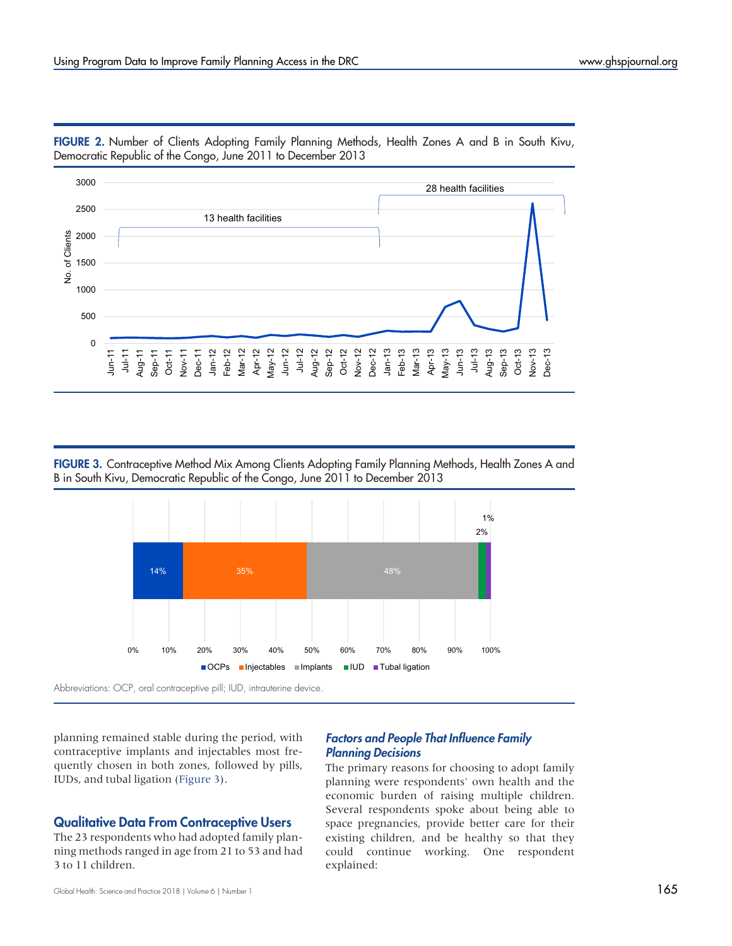

<span id="page-4-0"></span>FIGURE 2. Number of Clients Adopting Family Planning Methods, Health Zones A and B in South Kivu, Democratic Republic of the Congo, June 2011 to December 2013

FIGURE 3. Contraceptive Method Mix Among Clients Adopting Family Planning Methods, Health Zones A and B in South Kivu, Democratic Republic of the Congo, June 2011 to December 2013



Abbreviations: OCP, oral contraceptive pill; IUD, intrauterine device.

planning remained stable during the period, with contraceptive implants and injectables most frequently chosen in both zones, followed by pills, IUDs, and tubal ligation (Figure 3).

# Qualitative Data From Contraceptive Users

The 23 respondents who had adopted family planning methods ranged in age from 21 to 53 and had 3 to 11 children.

# Factors and People That Influence Family Planning Decisions

The primary reasons for choosing to adopt family planning were respondents' own health and the economic burden of raising multiple children. Several respondents spoke about being able to space pregnancies, provide better care for their existing children, and be healthy so that they could continue working. One respondent explained: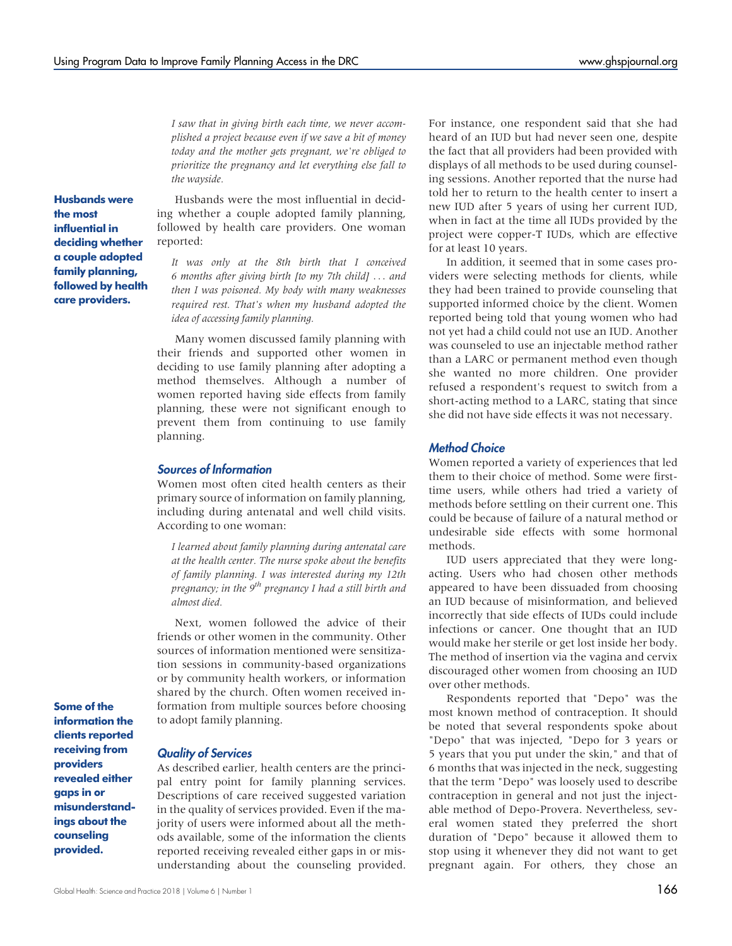I saw that in giving birth each time, we never accomplished a project because even if we save a bit of money today and the mother gets pregnant, we're obliged to prioritize the pregnancy and let everything else fall to the wayside.

Husbands were the most influential in deciding whether a couple adopted family planning, followed by health care providers.

Husbands were the most influential in deciding whether a couple adopted family planning, followed by health care providers. One woman reported:

It was only at the 8th birth that I conceived 6 months after giving birth [to my 7th child] ... and then I was poisoned. My body with many weaknesses required rest. That's when my husband adopted the idea of accessing family planning.

Many women discussed family planning with their friends and supported other women in deciding to use family planning after adopting a method themselves. Although a number of women reported having side effects from family planning, these were not significant enough to prevent them from continuing to use family planning.

#### Sources of Information

Women most often cited health centers as their primary source of information on family planning, including during antenatal and well child visits. According to one woman:

I learned about family planning during antenatal care at the health center. The nurse spoke about the benefits of family planning. I was interested during my 12th pregnancy; in the  $9<sup>th</sup>$  pregnancy I had a still birth and almost died.

Next, women followed the advice of their friends or other women in the community. Other sources of information mentioned were sensitization sessions in community-based organizations or by community health workers, or information shared by the church. Often women received information from multiple sources before choosing to adopt family planning.

Some of the information the clients reported receiving from providers revealed either gaps in or misunderstandings about the counseling provided.

#### Quality of Services

As described earlier, health centers are the principal entry point for family planning services. Descriptions of care received suggested variation in the quality of services provided. Even if the majority of users were informed about all the methods available, some of the information the clients reported receiving revealed either gaps in or misunderstanding about the counseling provided. For instance, one respondent said that she had heard of an IUD but had never seen one, despite the fact that all providers had been provided with displays of all methods to be used during counseling sessions. Another reported that the nurse had told her to return to the health center to insert a new IUD after 5 years of using her current IUD, when in fact at the time all IUDs provided by the project were copper-T IUDs, which are effective for at least 10 years.

In addition, it seemed that in some cases providers were selecting methods for clients, while they had been trained to provide counseling that supported informed choice by the client. Women reported being told that young women who had not yet had a child could not use an IUD. Another was counseled to use an injectable method rather than a LARC or permanent method even though she wanted no more children. One provider refused a respondent's request to switch from a short-acting method to a LARC, stating that since she did not have side effects it was not necessary.

#### Method Choice

Women reported a variety of experiences that led them to their choice of method. Some were firsttime users, while others had tried a variety of methods before settling on their current one. This could be because of failure of a natural method or undesirable side effects with some hormonal methods.

IUD users appreciated that they were longacting. Users who had chosen other methods appeared to have been dissuaded from choosing an IUD because of misinformation, and believed incorrectly that side effects of IUDs could include infections or cancer. One thought that an IUD would make her sterile or get lost inside her body. The method of insertion via the vagina and cervix discouraged other women from choosing an IUD over other methods.

Respondents reported that "Depo" was the most known method of contraception. It should be noted that several respondents spoke about "Depo" that was injected, "Depo for 3 years or 5 years that you put under the skin," and that of 6 months that was injected in the neck, suggesting that the term "Depo" was loosely used to describe contraception in general and not just the injectable method of Depo-Provera. Nevertheless, several women stated they preferred the short duration of "Depo" because it allowed them to stop using it whenever they did not want to get pregnant again. For others, they chose an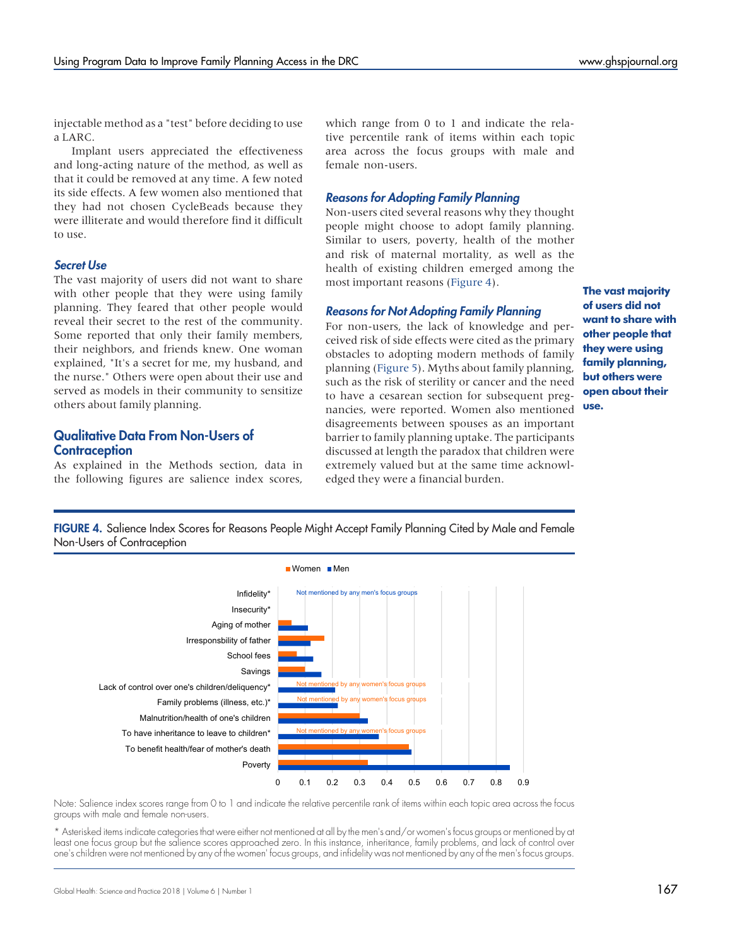injectable method as a "test" before deciding to use a LARC.

Implant users appreciated the effectiveness and long-acting nature of the method, as well as that it could be removed at any time. A few noted its side effects. A few women also mentioned that they had not chosen CycleBeads because they were illiterate and would therefore find it difficult to use.

#### Secret Use

The vast majority of users did not want to share with other people that they were using family planning. They feared that other people would reveal their secret to the rest of the community. Some reported that only their family members, their neighbors, and friends knew. One woman explained, "It's a secret for me, my husband, and the nurse." Others were open about their use and served as models in their community to sensitize others about family planning.

# Qualitative Data From Non-Users of **Contraception**

As explained in the Methods section, data in the following figures are salience index scores,

which range from 0 to 1 and indicate the relative percentile rank of items within each topic area across the focus groups with male and female non-users.

### Reasons for Adopting Family Planning

Non-users cited several reasons why they thought people might choose to adopt family planning. Similar to users, poverty, health of the mother and risk of maternal mortality, as well as the health of existing children emerged among the most important reasons (Figure 4).

### Reasons for Not Adopting Family Planning

For non-users, the lack of knowledge and perceived risk of side effects were cited as the primary obstacles to adopting modern methods of family planning [\(Figure 5](#page-7-0)). Myths about family planning, such as the risk of sterility or cancer and the need to have a cesarean section for subsequent pregnancies, were reported. Women also mentioned disagreements between spouses as an important barrier to family planning uptake. The participants discussed at length the paradox that children were extremely valued but at the same time acknowledged they were a financial burden.

The vast majority of users did not want to share with other people that they were using family planning, but others were open about their use.

FIGURE 4. Salience Index Scores for Reasons People Might Accept Family Planning Cited by Male and Female Non-Users of Contraception



Note: Salience index scores range from 0 to 1 and indicate the relative percentile rank of items within each topic area across the focus groups with male and female non-users.

\* Asterisked items indicate categories that were either not mentioned at all by the men's and/or women's focus groups or mentioned by at least one focus group but the salience scores approached zero. In this instance, inheritance, family problems, and lack of control over one's children were not mentioned by any of the women' focus groups, and infidelity was not mentioned by any of the men's focus groups.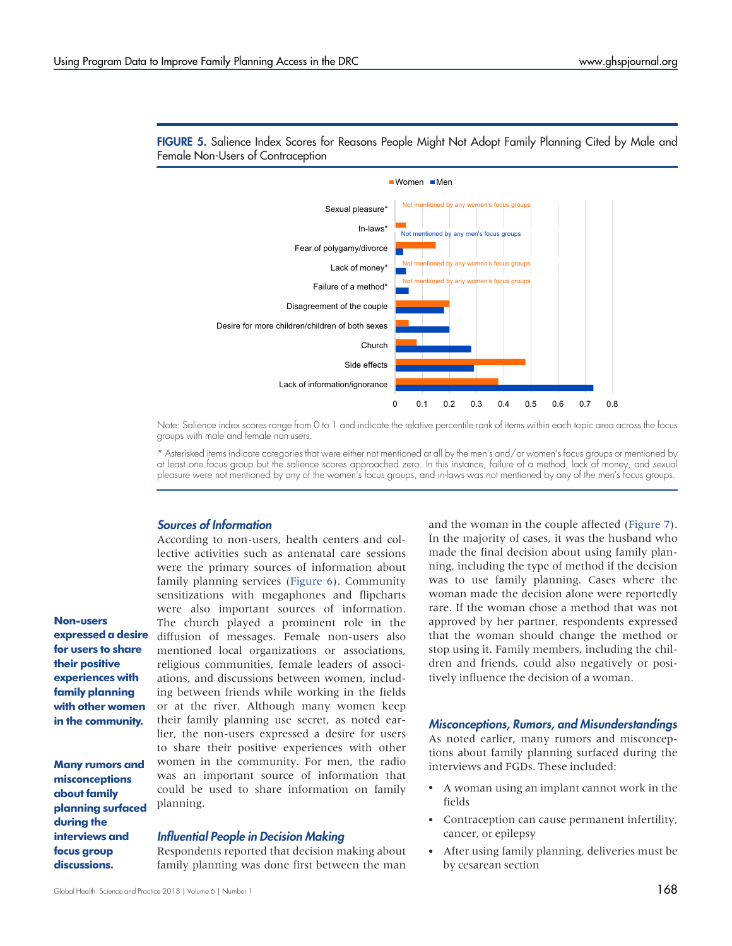

<span id="page-7-0"></span>FIGURE 5. Salience Index Scores for Reasons People Might Not Adopt Family Planning Cited by Male and Female Non-Users of Contraception

Note: Salience index scores range from 0 to 1 and indicate the relative percentile rank of items within each topic area across the focus groups with male and female non-users.

\* Asterisked items indicate categories that were either not mentioned at all by the men's and/or women's focus groups or mentioned by at least one focus group but the salience scores approached zero. In this instance, failure of a method, lack of money, and sexual pleasure were not mentioned by any of the women's focus groups, and in-laws was not mentioned by any of the men's focus groups.

# Sources of Information

According to non-users, health centers and collective activities such as antenatal care sessions were the primary sources of information about family planning services ([Figure 6\)](#page-8-0). Community sensitizations with megaphones and flipcharts were also important sources of information. The church played a prominent role in the diffusion of messages. Female non-users also mentioned local organizations or associations, religious communities, female leaders of associations, and discussions between women, including between friends while working in the fields or at the river. Although many women keep their family planning use secret, as noted earlier, the non-users expressed a desire for users to share their positive experiences with other women in the community. For men, the radio was an important source of information that could be used to share information on family planning.

#### Influential People in Decision Making

Respondents reported that decision making about family planning was done first between the man and the woman in the couple affected ([Figure 7\)](#page-9-0). In the majority of cases, it was the husband who made the final decision about using family planning, including the type of method if the decision was to use family planning. Cases where the woman made the decision alone were reportedly rare. If the woman chose a method that was not approved by her partner, respondents expressed that the woman should change the method or stop using it. Family members, including the children and friends, could also negatively or positively influence the decision of a woman.

#### Misconceptions, Rumors, and Misunderstandings

As noted earlier, many rumors and misconceptions about family planning surfaced during the interviews and FGDs. These included:

- A woman using an implant cannot work in the fields
- Contraception can cause permanent infertility, cancer, or epilepsy
- After using family planning, deliveries must be by cesarean section

Non-users expressed a desire for users to share their positive experiences with family planning with other women in the community.

Many rumors and misconceptions about family planning surfaced during the interviews and focus group discussions.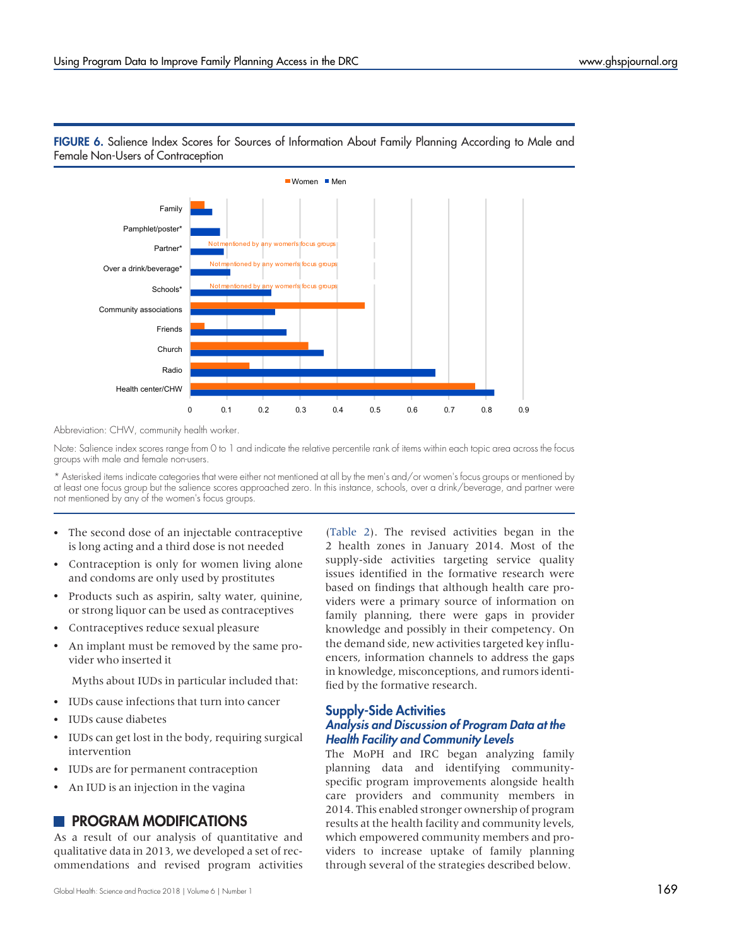

# <span id="page-8-0"></span>FIGURE 6. Salience Index Scores for Sources of Information About Family Planning According to Male and Female Non-Users of Contraception

Abbreviation: CHW, community health worker.

Note: Salience index scores range from 0 to 1 and indicate the relative percentile rank of items within each topic area across the focus groups with male and female non-users.

\* Asterisked items indicate categories that were either not mentioned at all by the men's and/or women's focus groups or mentioned by at least one focus group but the salience scores approached zero. In this instance, schools, over a drink/beverage, and partner were not mentioned by any of the women's focus groups.

- The second dose of an injectable contraceptive is long acting and a third dose is not needed
- Contraception is only for women living alone and condoms are only used by prostitutes
- Products such as aspirin, salty water, quinine, or strong liquor can be used as contraceptives
- Contraceptives reduce sexual pleasure
- An implant must be removed by the same provider who inserted it

Myths about IUDs in particular included that:

- IUDs cause infections that turn into cancer
- IUDs cause diabetes
- IUDs can get lost in the body, requiring surgical intervention
- IUDs are for permanent contraception
- An IUD is an injection in the vagina

# **PROGRAM MODIFICATIONS**

As a result of our analysis of quantitative and qualitative data in 2013, we developed a set of recommendations and revised program activities

Global Health: Science and Practice 2018 | Volume 6 | Number 1  $\!169$ 

[\(Table 2\)](#page-10-0). The revised activities began in the 2 health zones in January 2014. Most of the supply-side activities targeting service quality issues identified in the formative research were based on findings that although health care providers were a primary source of information on family planning, there were gaps in provider knowledge and possibly in their competency. On the demand side, new activities targeted key influencers, information channels to address the gaps in knowledge, misconceptions, and rumors identified by the formative research.

### Supply-Side Activities Analysis and Discussion of Program Data at the Health Facility and Community Levels

The MoPH and IRC began analyzing family planning data and identifying communityspecific program improvements alongside health care providers and community members in 2014. This enabled stronger ownership of program results at the health facility and community levels, which empowered community members and providers to increase uptake of family planning through several of the strategies described below.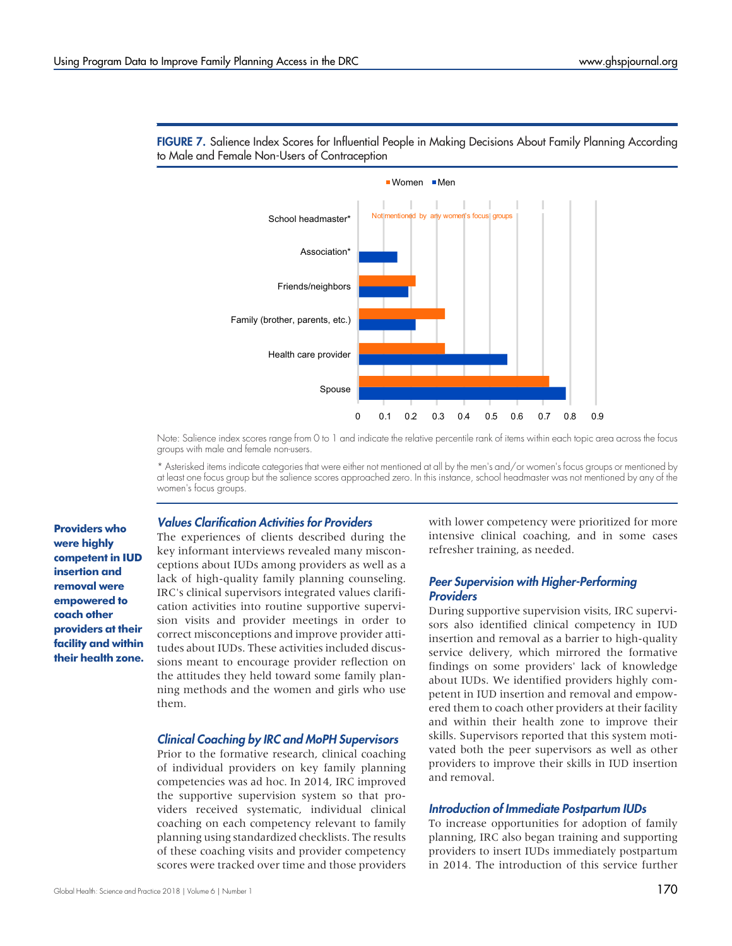

<span id="page-9-0"></span>FIGURE 7. Salience Index Scores for Influential People in Making Decisions About Family Planning According to Male and Female Non-Users of Contraception

Note: Salience index scores range from 0 to 1 and indicate the relative percentile rank of items within each topic area across the focus groups with male and female non-users.

\* Asterisked items indicate categories that were either not mentioned at all by the men's and/or women's focus groups or mentioned by at least one focus group but the salience scores approached zero. In this instance, school headmaster was not mentioned by any of the women's focus groups.

Providers who were highly competent in IUD insertion and removal were empowered to coach other providers at their facility and within their health zone.

#### Values Clarification Activities for Providers

The experiences of clients described during the key informant interviews revealed many misconceptions about IUDs among providers as well as a lack of high-quality family planning counseling. IRC's clinical supervisors integrated values clarification activities into routine supportive supervision visits and provider meetings in order to correct misconceptions and improve provider attitudes about IUDs. These activities included discussions meant to encourage provider reflection on the attitudes they held toward some family planning methods and the women and girls who use them.

#### Clinical Coaching by IRC and MoPH Supervisors

Prior to the formative research, clinical coaching of individual providers on key family planning competencies was ad hoc. In 2014, IRC improved the supportive supervision system so that providers received systematic, individual clinical coaching on each competency relevant to family planning using standardized checklists. The results of these coaching visits and provider competency scores were tracked over time and those providers

with lower competency were prioritized for more intensive clinical coaching, and in some cases refresher training, as needed.

### Peer Supervision with Higher-Performing **Providers**

During supportive supervision visits, IRC supervisors also identified clinical competency in IUD insertion and removal as a barrier to high-quality service delivery, which mirrored the formative findings on some providers' lack of knowledge about IUDs. We identified providers highly competent in IUD insertion and removal and empowered them to coach other providers at their facility and within their health zone to improve their skills. Supervisors reported that this system motivated both the peer supervisors as well as other providers to improve their skills in IUD insertion and removal.

#### Introduction of Immediate Postpartum IUDs

To increase opportunities for adoption of family planning, IRC also began training and supporting providers to insert IUDs immediately postpartum in 2014. The introduction of this service further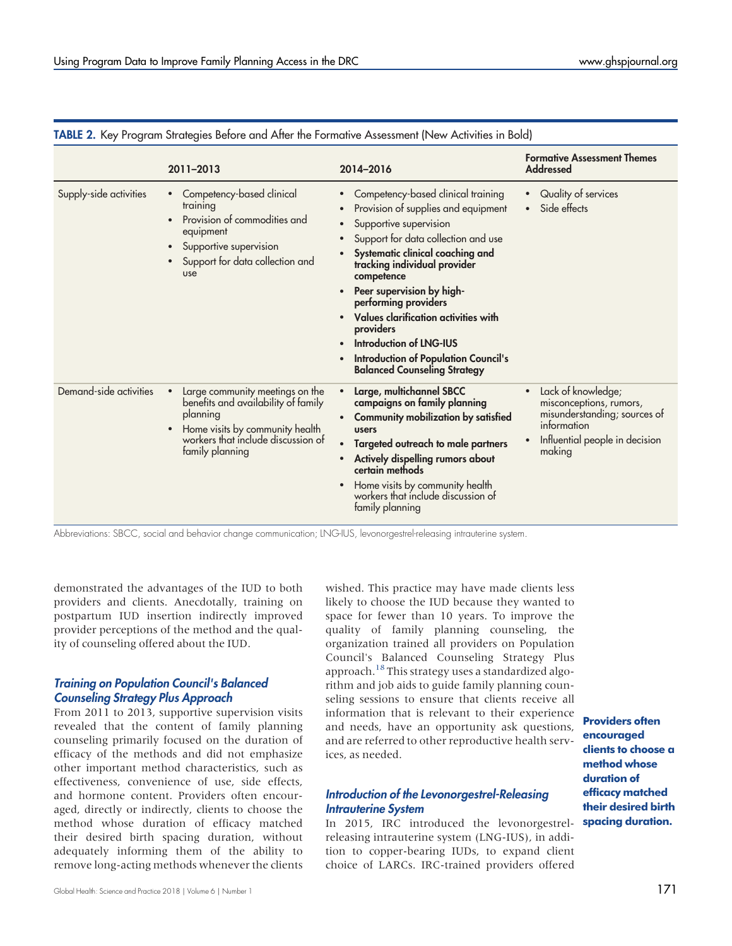|                        |                                                                                                                                                                                |                                                                                                                                                                                                                                                                                                                                                                                                                                                                                                                                              | <b>Formative Assessment Themes</b>                                                                                                       |  |
|------------------------|--------------------------------------------------------------------------------------------------------------------------------------------------------------------------------|----------------------------------------------------------------------------------------------------------------------------------------------------------------------------------------------------------------------------------------------------------------------------------------------------------------------------------------------------------------------------------------------------------------------------------------------------------------------------------------------------------------------------------------------|------------------------------------------------------------------------------------------------------------------------------------------|--|
|                        | 2011-2013                                                                                                                                                                      | 2014-2016                                                                                                                                                                                                                                                                                                                                                                                                                                                                                                                                    | <b>Addressed</b>                                                                                                                         |  |
| Supply-side activities | Competency-based clinical<br>training<br>Provision of commodities and<br>equipment<br>Supportive supervision<br>$\bullet$<br>Support for data collection and<br>use            | Competency-based clinical training<br>Provision of supplies and equipment<br>Supportive supervision<br>$\bullet$<br>Support for data collection and use<br>$\bullet$<br>Systematic clinical coaching and<br>$\bullet$<br>tracking individual provider<br>competence<br>Peer supervision by high-<br>$\bullet$<br>performing providers<br>Values clarification activities with<br>providers<br><b>Introduction of LNG-IUS</b><br>$\bullet$<br><b>Introduction of Population Council's</b><br>$\bullet$<br><b>Balanced Counseling Strategy</b> | Quality of services<br>Side effects                                                                                                      |  |
| Demand-side activities | Large community meetings on the<br>benefits and availability of family<br>planning<br>Home visits by community health<br>workers that include discussion of<br>family planning | Large, multichannel SBCC<br>$\bullet$<br>campaigns on family planning<br><b>Community mobilization by satisfied</b><br>$\bullet$<br>users<br>Targeted outreach to male partners<br>$\bullet$<br>Actively dispelling rumors about<br>$\bullet$<br>certain methods<br>Home visits by community health<br>$\bullet$<br>workers that include discussion of<br>family planning                                                                                                                                                                    | Lack of knowledge;<br>misconceptions, rumors,<br>misunderstanding; sources of<br>information<br>Influential people in decision<br>making |  |

<span id="page-10-0"></span>TABLE 2. Key Program Strategies Before and After the Formative Assessment (New Activities in Bold)

Abbreviations: SBCC, social and behavior change communication; LNG-IUS, levonorgestrel-releasing intrauterine system.

demonstrated the advantages of the IUD to both providers and clients. Anecdotally, training on postpartum IUD insertion indirectly improved provider perceptions of the method and the quality of counseling offered about the IUD.

### Training on Population Council's Balanced Counseling Strategy Plus Approach

From 2011 to 2013, supportive supervision visits revealed that the content of family planning counseling primarily focused on the duration of efficacy of the methods and did not emphasize other important method characteristics, such as effectiveness, convenience of use, side effects, and hormone content. Providers often encouraged, directly or indirectly, clients to choose the method whose duration of efficacy matched their desired birth spacing duration, without adequately informing them of the ability to remove long-acting methods whenever the clients

wished. This practice may have made clients less likely to choose the IUD because they wanted to space for fewer than 10 years. To improve the quality of family planning counseling, the organization trained all providers on Population Council's Balanced Counseling Strategy Plus approach.[18](#page-15-14) This strategy uses a standardized algorithm and job aids to guide family planning counseling sessions to ensure that clients receive all information that is relevant to their experience and needs, have an opportunity ask questions, and are referred to other reproductive health services, as needed.

### Introduction of the Levonorgestrel-Releasing Intrauterine System

In 2015, IRC introduced the levonorgestrelreleasing intrauterine system (LNG-IUS), in addition to copper-bearing IUDs, to expand client choice of LARCs. IRC-trained providers offered

Providers often encouraged clients to choose a method whose duration of efficacy matched their desired birth spacing duration.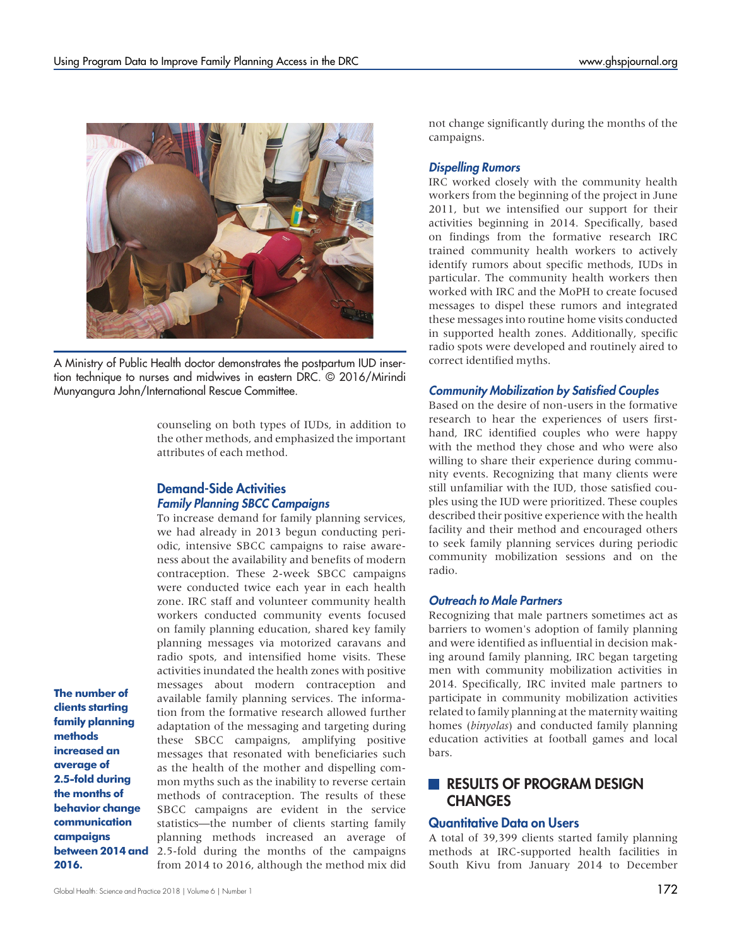

A Ministry of Public Health doctor demonstrates the postpartum IUD insertion technique to nurses and midwives in eastern DRC. © 2016/Mirindi Munyangura John/International Rescue Committee.

counseling on both types of IUDs, in addition to the other methods, and emphasized the important attributes of each method.

# Demand-Side Activities Family Planning SBCC Campaigns

To increase demand for family planning services, we had already in 2013 begun conducting periodic, intensive SBCC campaigns to raise awareness about the availability and benefits of modern contraception. These 2-week SBCC campaigns were conducted twice each year in each health zone. IRC staff and volunteer community health workers conducted community events focused on family planning education, shared key family planning messages via motorized caravans and radio spots, and intensified home visits. These activities inundated the health zones with positive messages about modern contraception and available family planning services. The information from the formative research allowed further adaptation of the messaging and targeting during these SBCC campaigns, amplifying positive messages that resonated with beneficiaries such as the health of the mother and dispelling common myths such as the inability to reverse certain methods of contraception. The results of these SBCC campaigns are evident in the service statistics—the number of clients starting family planning methods increased an average of 2.5-fold during the months of the campaigns from 2014 to 2016, although the method mix did

The number of clients starting family planning methods increased an average of 2.5-fold during the months of behavior change communication campaigns between 2014 and 2016.

not change significantly during the months of the campaigns.

# Dispelling Rumors

IRC worked closely with the community health workers from the beginning of the project in June 2011, but we intensified our support for their activities beginning in 2014. Specifically, based on findings from the formative research IRC trained community health workers to actively identify rumors about specific methods, IUDs in particular. The community health workers then worked with IRC and the MoPH to create focused messages to dispel these rumors and integrated these messages into routine home visits conducted in supported health zones. Additionally, specific radio spots were developed and routinely aired to correct identified myths.

### Community Mobilization by Satisfied Couples

Based on the desire of non-users in the formative research to hear the experiences of users firsthand, IRC identified couples who were happy with the method they chose and who were also willing to share their experience during community events. Recognizing that many clients were still unfamiliar with the IUD, those satisfied couples using the IUD were prioritized. These couples described their positive experience with the health facility and their method and encouraged others to seek family planning services during periodic community mobilization sessions and on the radio.

# Outreach to Male Partners

Recognizing that male partners sometimes act as barriers to women's adoption of family planning and were identified as influential in decision making around family planning, IRC began targeting men with community mobilization activities in 2014. Specifically, IRC invited male partners to participate in community mobilization activities related to family planning at the maternity waiting homes (*binyolas*) and conducted family planning education activities at football games and local bars.

# **RESULTS OF PROGRAM DESIGN CHANGES**

# Quantitative Data on Users

A total of 39,399 clients started family planning methods at IRC-supported health facilities in South Kivu from January 2014 to December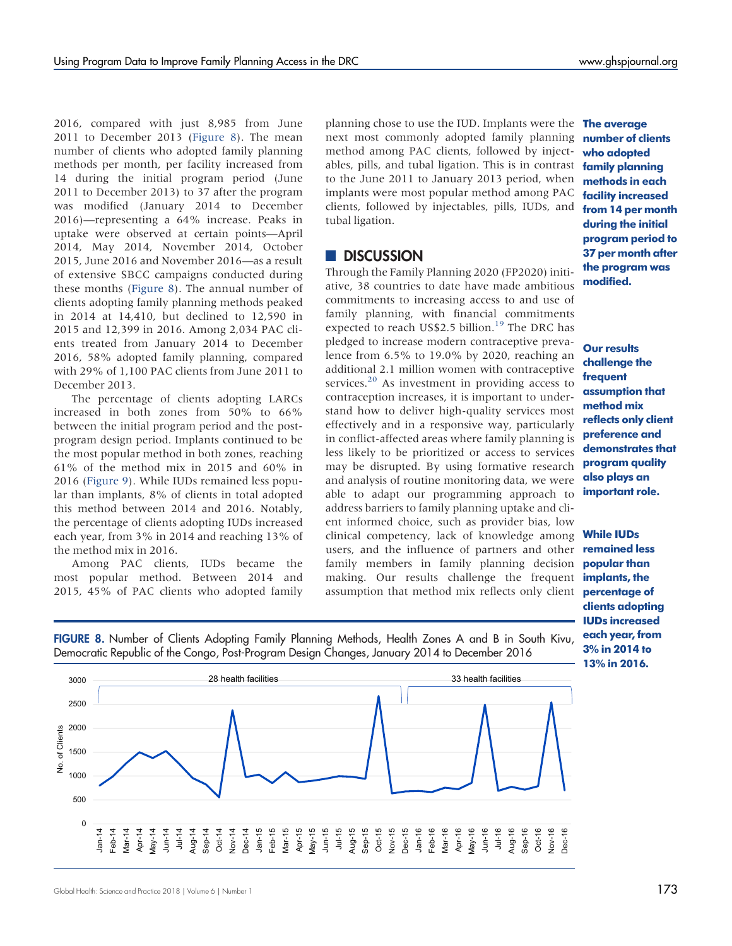2016, compared with just 8,985 from June 2011 to December 2013 (Figure 8). The mean number of clients who adopted family planning methods per month, per facility increased from 14 during the initial program period (June 2011 to December 2013) to 37 after the program was modified (January 2014 to December 2016)—representing a 64% increase. Peaks in uptake were observed at certain points—April 2014, May 2014, November 2014, October 2015, June 2016 and November 2016—as a result of extensive SBCC campaigns conducted during these months (Figure 8). The annual number of clients adopting family planning methods peaked in 2014 at 14,410, but declined to 12,590 in 2015 and 12,399 in 2016. Among 2,034 PAC clients treated from January 2014 to December 2016, 58% adopted family planning, compared with 29% of 1,100 PAC clients from June 2011 to December 2013.

The percentage of clients adopting LARCs increased in both zones from 50% to 66% between the initial program period and the postprogram design period. Implants continued to be the most popular method in both zones, reaching 61% of the method mix in 2015 and 60% in 2016 ([Figure 9](#page-13-0)). While IUDs remained less popular than implants, 8% of clients in total adopted this method between 2014 and 2016. Notably, the percentage of clients adopting IUDs increased each year, from 3% in 2014 and reaching 13% of the method mix in 2016.

Among PAC clients, IUDs became the most popular method. Between 2014 and 2015, 45% of PAC clients who adopted family

planning chose to use the IUD. Implants were the **The average** next most commonly adopted family planning method among PAC clients, followed by injectables, pills, and tubal ligation. This is in contrast to the June 2011 to January 2013 period, when implants were most popular method among PAC clients, followed by injectables, pills, IUDs, and tubal ligation.

# **DISCUSSION**

Through the Family Planning 2020 (FP2020) initiative, 38 countries to date have made ambitious commitments to increasing access to and use of family planning, with financial commitments expected to reach US\$2.5 billion.<sup>[19](#page-15-15)</sup> The DRC has pledged to increase modern contraceptive prevalence from 6.5% to 19.0% by 2020, reaching an additional 2.1 million women with contraceptive services. $20$  As investment in providing access to contraception increases, it is important to understand how to deliver high-quality services most effectively and in a responsive way, particularly in conflict-affected areas where family planning is less likely to be prioritized or access to services may be disrupted. By using formative research and analysis of routine monitoring data, we were able to adapt our programming approach to address barriers to family planning uptake and client informed choice, such as provider bias, low clinical competency, lack of knowledge among users, and the influence of partners and other family members in family planning decision making. Our results challenge the frequent assumption that method mix reflects only client

number of clients who adopted family planning methods in each facility increased from 14 per month during the initial program period to 37 per month after the program was modified.

**Our results** challenge the frequent assumption that method mix reflects only client preference and demonstrates that program quality also plays an important role.

While IUDs remained less popular than implants, the percentage of clients adopting IUDs increased each year, from 3% in 2014 to 13% in 2016.





Global Health: Science and Practice 2018 | Volume 6 | Number 1  $173$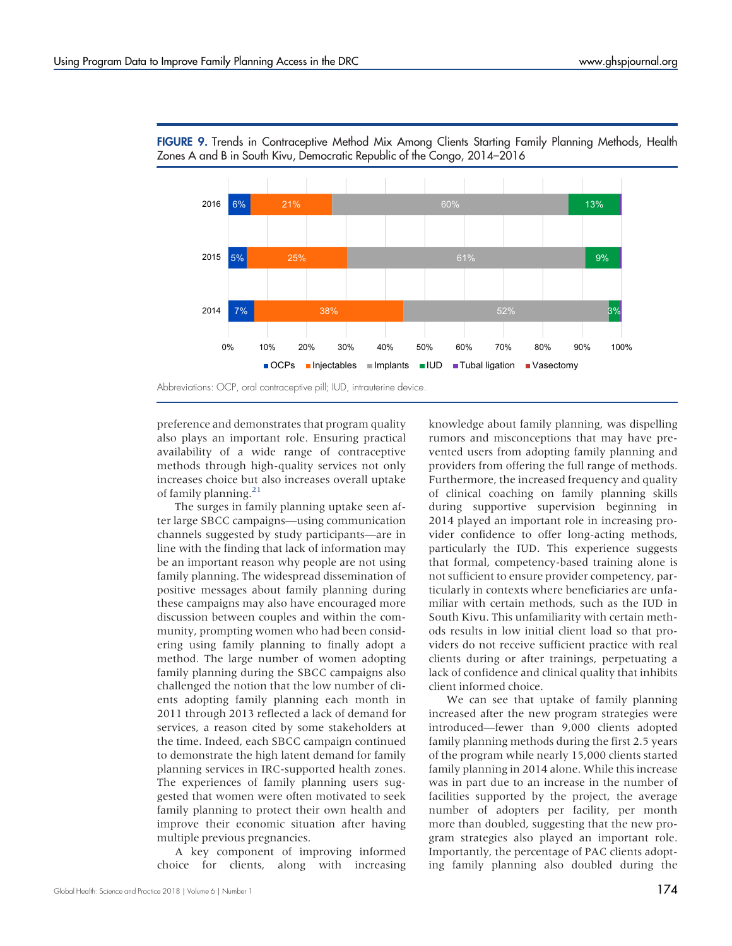

<span id="page-13-0"></span>FIGURE 9. Trends in Contraceptive Method Mix Among Clients Starting Family Planning Methods, Health Zones A and B in South Kivu, Democratic Republic of the Congo, 2014–2016

preference and demonstrates that program quality also plays an important role. Ensuring practical availability of a wide range of contraceptive methods through high-quality services not only increases choice but also increases overall uptake of family planning. $21$ 

The surges in family planning uptake seen after large SBCC campaigns—using communication channels suggested by study participants—are in line with the finding that lack of information may be an important reason why people are not using family planning. The widespread dissemination of positive messages about family planning during these campaigns may also have encouraged more discussion between couples and within the community, prompting women who had been considering using family planning to finally adopt a method. The large number of women adopting family planning during the SBCC campaigns also challenged the notion that the low number of clients adopting family planning each month in 2011 through 2013 reflected a lack of demand for services, a reason cited by some stakeholders at the time. Indeed, each SBCC campaign continued to demonstrate the high latent demand for family planning services in IRC-supported health zones. The experiences of family planning users suggested that women were often motivated to seek family planning to protect their own health and improve their economic situation after having multiple previous pregnancies.

A key component of improving informed choice for clients, along with increasing

rumors and misconceptions that may have prevented users from adopting family planning and providers from offering the full range of methods. Furthermore, the increased frequency and quality of clinical coaching on family planning skills during supportive supervision beginning in 2014 played an important role in increasing provider confidence to offer long-acting methods, particularly the IUD. This experience suggests that formal, competency-based training alone is not sufficient to ensure provider competency, particularly in contexts where beneficiaries are unfamiliar with certain methods, such as the IUD in South Kivu. This unfamiliarity with certain methods results in low initial client load so that providers do not receive sufficient practice with real clients during or after trainings, perpetuating a lack of confidence and clinical quality that inhibits client informed choice.

knowledge about family planning, was dispelling

We can see that uptake of family planning increased after the new program strategies were introduced—fewer than 9,000 clients adopted family planning methods during the first 2.5 years of the program while nearly 15,000 clients started family planning in 2014 alone. While this increase was in part due to an increase in the number of facilities supported by the project, the average number of adopters per facility, per month more than doubled, suggesting that the new program strategies also played an important role. Importantly, the percentage of PAC clients adopting family planning also doubled during the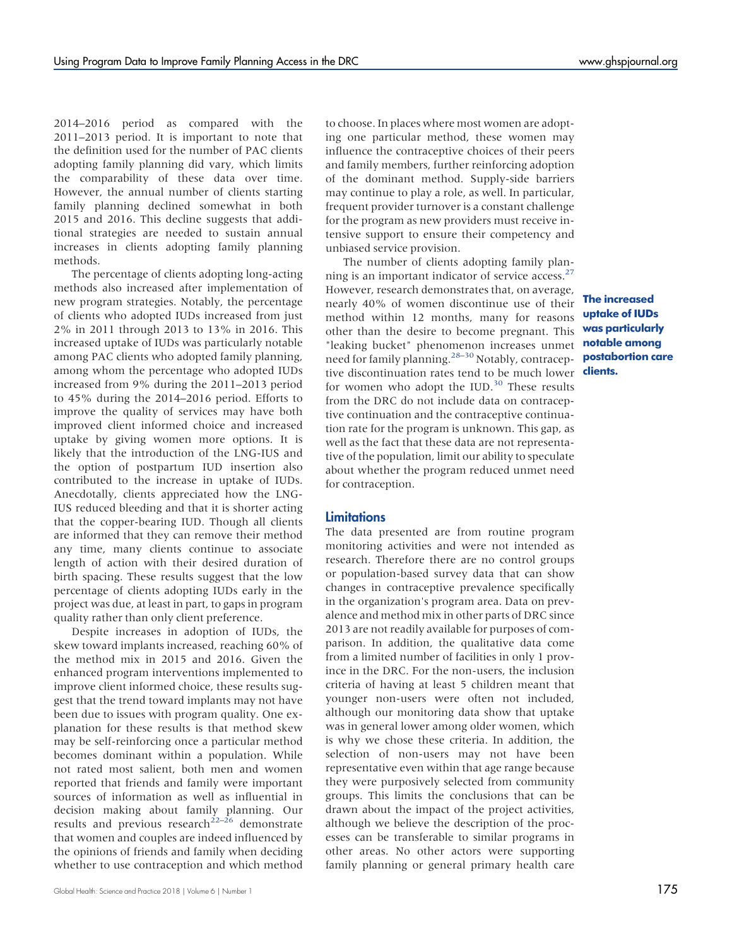2014–2016 period as compared with the 2011–2013 period. It is important to note that the definition used for the number of PAC clients adopting family planning did vary, which limits the comparability of these data over time. However, the annual number of clients starting family planning declined somewhat in both 2015 and 2016. This decline suggests that additional strategies are needed to sustain annual increases in clients adopting family planning methods.

The percentage of clients adopting long-acting methods also increased after implementation of new program strategies. Notably, the percentage of clients who adopted IUDs increased from just 2% in 2011 through 2013 to 13% in 2016. This increased uptake of IUDs was particularly notable among PAC clients who adopted family planning, among whom the percentage who adopted IUDs increased from 9% during the 2011–2013 period to 45% during the 2014–2016 period. Efforts to improve the quality of services may have both improved client informed choice and increased uptake by giving women more options. It is likely that the introduction of the LNG-IUS and the option of postpartum IUD insertion also contributed to the increase in uptake of IUDs. Anecdotally, clients appreciated how the LNG-IUS reduced bleeding and that it is shorter acting that the copper-bearing IUD. Though all clients are informed that they can remove their method any time, many clients continue to associate length of action with their desired duration of birth spacing. These results suggest that the low percentage of clients adopting IUDs early in the project was due, at least in part, to gaps in program quality rather than only client preference.

Despite increases in adoption of IUDs, the skew toward implants increased, reaching 60% of the method mix in 2015 and 2016. Given the enhanced program interventions implemented to improve client informed choice, these results suggest that the trend toward implants may not have been due to issues with program quality. One explanation for these results is that method skew may be self-reinforcing once a particular method becomes dominant within a population. While not rated most salient, both men and women reported that friends and family were important sources of information as well as influential in decision making about family planning. Our results and previous research<sup>[22](#page-16-2)–[26](#page-16-3)</sup> demonstrate that women and couples are indeed influenced by the opinions of friends and family when deciding whether to use contraception and which method to choose. In places where most women are adopting one particular method, these women may influence the contraceptive choices of their peers and family members, further reinforcing adoption of the dominant method. Supply-side barriers may continue to play a role, as well. In particular, frequent provider turnover is a constant challenge for the program as new providers must receive intensive support to ensure their competency and unbiased service provision.

The number of clients adopting family plan-ning is an important indicator of service access.<sup>[27](#page-16-4)</sup> However, research demonstrates that, on average, nearly 40% of women discontinue use of their method within 12 months, many for reasons other than the desire to become pregnant. This "leaking bucket" phenomenon increases unmet need for family planning.<sup>[28](#page-16-5)-[30](#page-16-6)</sup> Notably, contraceptive discontinuation rates tend to be much lower for women who adopt the IUD. $30$  These results from the DRC do not include data on contraceptive continuation and the contraceptive continuation rate for the program is unknown. This gap, as well as the fact that these data are not representative of the population, limit our ability to speculate about whether the program reduced unmet need for contraception.

#### **Limitations**

The data presented are from routine program monitoring activities and were not intended as research. Therefore there are no control groups or population-based survey data that can show changes in contraceptive prevalence specifically in the organization's program area. Data on prevalence and method mix in other parts of DRC since 2013 are not readily available for purposes of comparison. In addition, the qualitative data come from a limited number of facilities in only 1 province in the DRC. For the non-users, the inclusion criteria of having at least 5 children meant that younger non-users were often not included, although our monitoring data show that uptake was in general lower among older women, which is why we chose these criteria. In addition, the selection of non-users may not have been representative even within that age range because they were purposively selected from community groups. This limits the conclusions that can be drawn about the impact of the project activities, although we believe the description of the processes can be transferable to similar programs in other areas. No other actors were supporting family planning or general primary health care

The increased uptake of IUDs was particularly notable among postabortion care clients.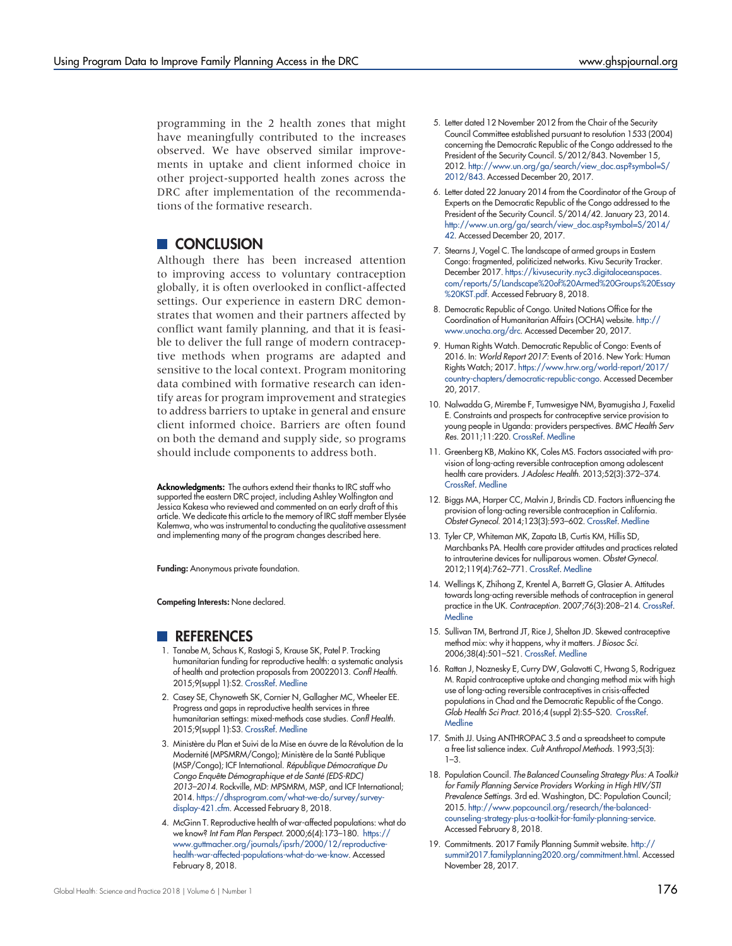programming in the 2 health zones that might have meaningfully contributed to the increases observed. We have observed similar improvements in uptake and client informed choice in other project-supported health zones across the DRC after implementation of the recommendations of the formative research.

# CONCLUSION

Although there has been increased attention to improving access to voluntary contraception globally, it is often overlooked in conflict-affected settings. Our experience in eastern DRC demonstrates that women and their partners affected by conflict want family planning, and that it is feasible to deliver the full range of modern contraceptive methods when programs are adapted and sensitive to the local context. Program monitoring data combined with formative research can identify areas for program improvement and strategies to address barriers to uptake in general and ensure client informed choice. Barriers are often found on both the demand and supply side, so programs should include components to address both.

Acknowledgments: The authors extend their thanks to IRC staff who supported the eastern DRC project, including Ashley Wolfington and Jessica Kakesa who reviewed and commented on an early draft of this article. We dedicate this article to the memory of IRC staff member Elysée Kalemwa, who was instrumental to conducting the qualitative assessment and implementing many of the program changes described here.

Funding: Anonymous private foundation.

Competing Interests: None declared.

# **REFERENCES**

- <span id="page-15-0"></span>1. Tanabe M, Schaus K, Rastogi S, Krause SK, Patel P. Tracking humanitarian funding for reproductive health: a systematic analysis of health and protection proposals from 20022013. Confl Health. 2015;9(suppl 1):S2. [CrossRef](https://doi.org/10.1186/1752-1505-9-S1-S2). [Medline](http://www.ncbi.nlm.nih.gov/pubmed/25798188)
- <span id="page-15-1"></span>2. Casey SE, Chynoweth SK, Cornier N, Gallagher MC, Wheeler EE. Progress and gaps in reproductive health services in three humanitarian settings: mixed-methods case studies. Confl Health. 2015;9(suppl 1):S3. [CrossRef](https://doi.org/10.1186/1752-1505-9-S1-S3). [Medline](http://www.ncbi.nlm.nih.gov/pubmed/25798189)
- <span id="page-15-2"></span>3. Ministère du Plan et Suivi de la Mise en óuvre de la Révolution de la Modernité (MPSMRM/Congo); Ministère de la Santé Publique (MSP/Congo); ICF International. République Démocratique Du Congo Enquête Démographique et de Santé (EDS-RDC) 2013–2014. Rockville, MD: MPSMRM, MSP, and ICF International; 2014. [https://dhsprogram.com/what-we-do/survey/survey](https://dhsprogram.com/what-we-do/survey/survey-display-421.cfm)[display-421.cfm](https://dhsprogram.com/what-we-do/survey/survey-display-421.cfm). Accessed February 8, 2018.
- <span id="page-15-3"></span>4. McGinn T. Reproductive health of war-affected populations: what do we know? Int Fam Plan Perspect. 2000;6(4):173–180. [https://](https://www.guttmacher.org/journals/ipsrh/2000/12/reproductive-health-war-affected-populations-what-do-we-know) [www.guttmacher.org/journals/ipsrh/2000/12/reproductive](https://www.guttmacher.org/journals/ipsrh/2000/12/reproductive-health-war-affected-populations-what-do-we-know)[health-war-affected-populations-what-do-we-know](https://www.guttmacher.org/journals/ipsrh/2000/12/reproductive-health-war-affected-populations-what-do-we-know). Accessed February 8, 2018.
- <span id="page-15-4"></span>5. Letter dated 12 November 2012 from the Chair of the Security Council Committee established pursuant to resolution 1533 (2004) concerning the Democratic Republic of the Congo addressed to the President of the Security Council. S/2012/843. November 15, 2012. [http://www.un.org/ga/search/view\\_doc.asp?symbol=S/](http://www.un.org/ga/search/view_doc.asp?symbol=S/2012/843) [2012/843.](http://www.un.org/ga/search/view_doc.asp?symbol=S/2012/843) Accessed December 20, 2017.
- <span id="page-15-5"></span>6. Letter dated 22 January 2014 from the Coordinator of the Group of Experts on the Democratic Republic of the Congo addressed to the President of the Security Council. S/2014/42. January 23, 2014. [http://www.un.org/ga/search/view\\_doc.asp?symbol=S/2014/](http://www.un.org/ga/search/view_doc.asp?symbol=S/2014/42) [42](http://www.un.org/ga/search/view_doc.asp?symbol=S/2014/42). Accessed December 20, 2017.
- <span id="page-15-6"></span>7. Stearns J, Vogel C. The landscape of armed groups in Eastern Congo: fragmented, politicized networks. Kivu Security Tracker. December 2017. [https://kivusecurity.nyc3.digitaloceanspaces.](https://kivusecurity.nyc3.digitaloceanspaces.com/reports/5/Landscape%20of%20Armed%20Groups%20Essay%20KST.pdf) [com/reports/5/Landscape%20of%20Armed%20Groups%20Essay](https://kivusecurity.nyc3.digitaloceanspaces.com/reports/5/Landscape%20of%20Armed%20Groups%20Essay%20KST.pdf) [%20KST.pdf.](https://kivusecurity.nyc3.digitaloceanspaces.com/reports/5/Landscape%20of%20Armed%20Groups%20Essay%20KST.pdf) Accessed February 8, 2018.
- <span id="page-15-7"></span>8. Democratic Republic of Congo. United Nations Office for the Coordination of Humanitarian Affairs (OCHA) website. [http://](http://www.unocha.org/drc) [www.unocha.org/drc](http://www.unocha.org/drc). Accessed December 20, 2017.
- <span id="page-15-8"></span>9. Human Rights Watch. Democratic Republic of Congo: Events of 2016. In: World Report 2017: Events of 2016. New York: Human Rights Watch; 2017. [https://www.hrw.org/world-report/2017/](https://www.hrw.org/world-report/2017/country-chapters/democratic-republic-congo) [country-chapters/democratic-republic-congo.](https://www.hrw.org/world-report/2017/country-chapters/democratic-republic-congo) Accessed December 20, 2017.
- <span id="page-15-9"></span>10. Nalwadda G, Mirembe F, Tumwesigye NM, Byamugisha J, Faxelid E. Constraints and prospects for contraceptive service provision to young people in Uganda: providers perspectives. BMC Health Serv Res. 2011;11:220. [CrossRef](https://doi.org/10.1186/1472-6963-11-220). [Medline](http://www.ncbi.nlm.nih.gov/pubmed/21923927)
- 11. Greenberg KB, Makino KK, Coles MS. Factors associated with provision of long-acting reversible contraception among adolescent health care providers. J Adolesc Health. 2013;52(3):372–374. [CrossRef](https://doi.org/10.1016/j.jadohealth.2012.11.003). [Medline](http://www.ncbi.nlm.nih.gov/pubmed/23427785)
- 12. Biggs MA, Harper CC, Malvin J, Brindis CD. Factors influencing the provision of long-acting reversible contraception in California. Obstet Gynecol. 2014;123(3):593–602. [CrossRef](https://doi.org/10.1097/AOG.0000000000000137). [Medline](http://www.ncbi.nlm.nih.gov/pubmed/24499746)
- 13. Tyler CP, Whiteman MK, Zapata LB, Curtis KM, Hillis SD, Marchbanks PA. Health care provider attitudes and practices related to intrauterine devices for nulliparous women. Obstet Gynecol. 2012;119(4):762–771. [CrossRef](https://doi.org/10.1097/AOG.0b013e31824aca39). [Medline](http://www.ncbi.nlm.nih.gov/pubmed/22433340)
- <span id="page-15-10"></span>14. Wellings K, Zhihong Z, Krentel A, Barrett G, Glasier A. Attitudes towards long-acting reversible methods of contraception in general practice in the UK. Contraception. 2007;76(3):208–214. [CrossRef.](https://doi.org/10.1016/j.contraception.2007.05.085) **[Medline](http://www.ncbi.nlm.nih.gov/pubmed/17707718)**
- <span id="page-15-11"></span>15. Sullivan TM, Bertrand JT, Rice J, Shelton JD. Skewed contraceptive method mix: why it happens, why it matters. J Biosoc Sci. 2006;38(4):501–521. [CrossRef](https://doi.org/10.1017/S0021932005026647). [Medline](http://www.ncbi.nlm.nih.gov/pubmed/16762087)
- <span id="page-15-12"></span>16. Rattan J, Noznesky E, Curry DW, Galavotti C, Hwang S, Rodriguez M. Rapid contraceptive uptake and changing method mix with high use of long-acting reversible contraceptives in crisis-affected populations in Chad and the Democratic Republic of the Congo. Glob Health Sci Pract. 2016;4 (suppl 2):S5–S20. [CrossRef.](https://doi.org/10.9745/GHSP-D-15-00315) **[Medline](http://www.ncbi.nlm.nih.gov/pubmed/27540125)**
- <span id="page-15-13"></span>17. Smith JJ. Using ANTHROPAC 3.5 and a spreadsheet to compute a free list salience index. Cult Anthropol Methods. 1993;5(3): 1–3.
- <span id="page-15-14"></span>18. Population Council. The Balanced Counseling Strategy Plus: A Toolkit for Family Planning Service Providers Working in High HIV/STI Prevalence Settings. 3rd ed. Washington, DC: Population Council; 2015. [http://www.popcouncil.org/research/the-balanced](http://www.popcouncil.org/research/the-balanced-counseling-strategy-plus-a-toolkit-for-family-planning-service)[counseling-strategy-plus-a-toolkit-for-family-planning-service.](http://www.popcouncil.org/research/the-balanced-counseling-strategy-plus-a-toolkit-for-family-planning-service) Accessed February 8, 2018.
- <span id="page-15-15"></span>19. Commitments. 2017 Family Planning Summit website. [http://](http://summit2017.familyplanning2020.org/commitment.html) [summit2017.familyplanning2020.org/commitment.html.](http://summit2017.familyplanning2020.org/commitment.html) Accessed November 28, 2017.